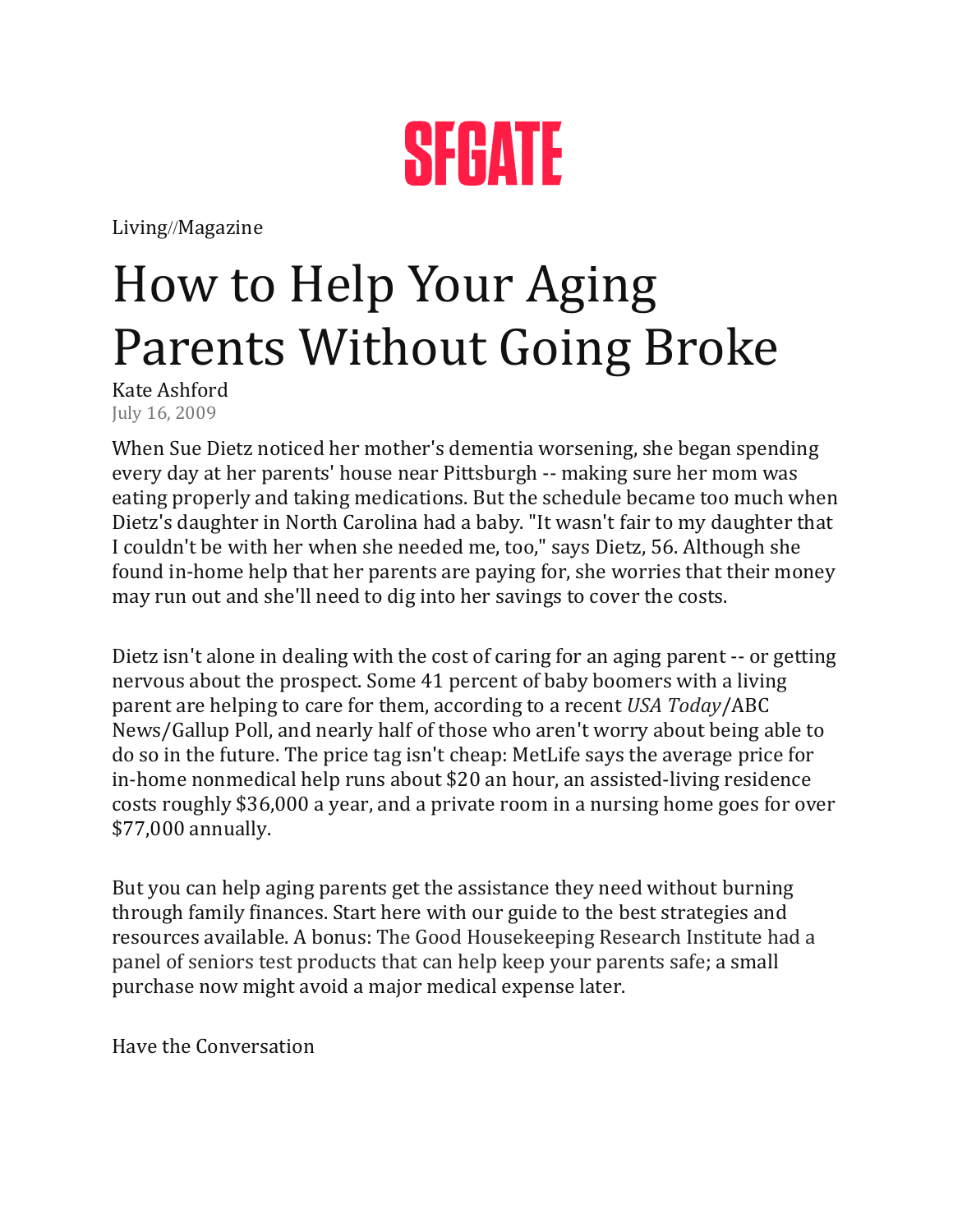

[Living](https://www.sfgate.com/living/)//[Magazine](https://www.sfgate.com/magazine/)

## How to Help Your Aging Parents Without Going Broke

Kate Ashford July 16, 2009

When [Sue Dietz](https://www.sfgate.com/search/?action=search&channel=magazine&inlineLink=1&searchindex=solr&query=%22Sue+Dietz%22) noticed her mother's dementia worsening, she began spending every day at her parents' house near Pittsburgh -- making sure her mom was eating properly and taking medications. But the schedule became too much when Dietz's daughter in North Carolina had a baby. "It wasn't fair to my daughter that I couldn't be with her when she needed me, too," says Dietz, 56. Although she found in-home help that her parents are paying for, she worries that their money may run out and she'll need to dig into her savings to cover the costs.

Dietz isn't alone in dealing with the cost of caring for an aging parent -- or getting nervous about the prospect. Some 41 percent of baby boomers with a living parent are helping to care for them, according to a recent *[USA Today](https://www.sfgate.com/search/?action=search&channel=magazine&inlineLink=1&searchindex=solr&query=%22USA+Today%22)*/ABC News/Gallup Poll, and nearly half of those who aren't worry about being able to do so in the future. The price tag isn't cheap: MetLife says the average price for in-home nonmedical help runs about \$20 an hour, an assisted-living residence costs roughly \$36,000 a year, and a private room in a nursing home goes for over \$77,000 annually.

But you can help aging parents get the assistance they need without burning through family finances. Start here with our guide to the best strategies and resources available. A bonus: [The Good Housekeeping Research Institute had a](http://www.goodhousekeeping.com/product-testing/reviews-tests/elderly-safety-products)  [panel of seniors test products that can help keep your parents safe;](http://www.goodhousekeeping.com/product-testing/reviews-tests/elderly-safety-products) a small purchase now might avoid a major medical expense later.

Have the Conversation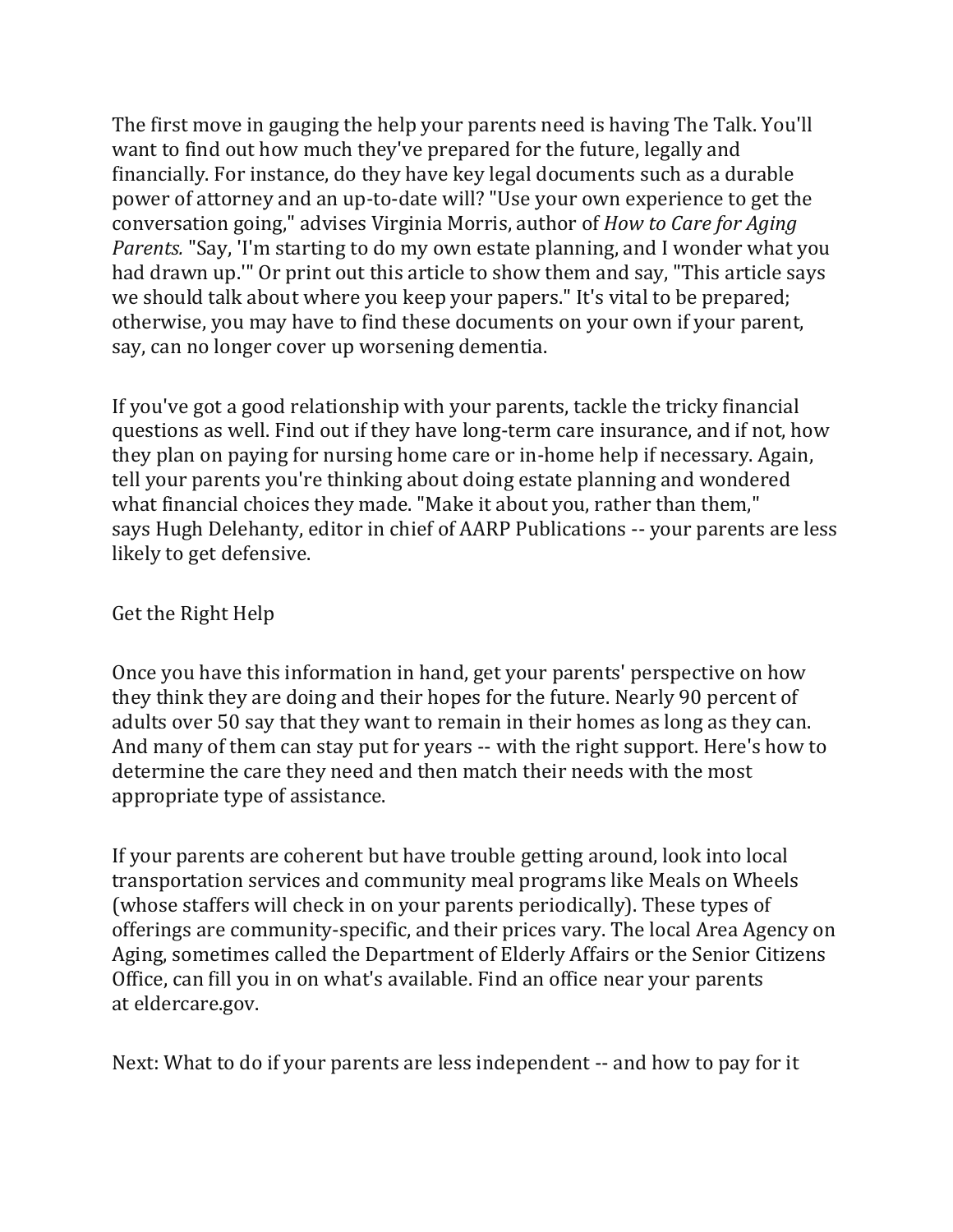The first move in gauging the help your parents need is having The Talk. You'll want to find out how much they've prepared for the future, legally and financially. For instance, do they have key legal documents such as a durable power of attorney and an up-to-date will? "Use your own experience to get the conversation going," advises [Virginia Morris,](https://www.sfgate.com/search/?action=search&channel=magazine&inlineLink=1&searchindex=solr&query=%22Virginia+Morris%22) author of *How to Care for Aging Parents.* "Say, 'I'm starting to do my own estate planning, and I wonder what you had drawn up.'" Or print out this article to show them and say, "This article says we should talk about where you keep your papers." It's vital to be prepared; otherwise, you may have to find these documents on your own if your parent, say, can no longer cover up worsening dementia.

If you've got a good relationship with your parents, tackle the tricky financial questions as well. Find out if they have long-term care insurance, and if not, how they plan on paying for nursing home care or in-home help if necessary. Again, tell your parents you're thinking about doing estate planning and wondered what financial choices they made. "Make it about you, rather than them," says [Hugh Delehanty,](https://www.sfgate.com/search/?action=search&channel=magazine&inlineLink=1&searchindex=solr&query=%22Hugh+Delehanty%22) editor in chief of AARP Publications -- your parents are less likely to get defensive.

## Get the Right Help

Once you have this information in hand, get your parents' perspective on how they think they are doing and their hopes for the future. Nearly 90 percent of adults over 50 say that they want to remain in their homes as long as they can. And many of them can stay put for years -- with the right support. Here's how to determine the care they need and then match their needs with the most appropriate type of assistance.

If your parents are coherent but have trouble getting around, look into local transportation services and community meal programs like Meals on Wheels (whose staffers will check in on your parents periodically). These types of offerings are community-specific, and their prices vary. The local [Area Agency on](https://www.sfgate.com/search/?action=search&channel=magazine&inlineLink=1&searchindex=solr&query=%22Area+Agency+on+Aging%22)  [Aging,](https://www.sfgate.com/search/?action=search&channel=magazine&inlineLink=1&searchindex=solr&query=%22Area+Agency+on+Aging%22) sometimes called the [Department of Elderly Affairs](https://www.sfgate.com/search/?action=search&channel=magazine&inlineLink=1&searchindex=solr&query=%22Department+of+Elderly+Affairs%22) or the [Senior Citizens](https://www.sfgate.com/search/?action=search&channel=magazine&inlineLink=1&searchindex=solr&query=%22Senior+Citizens+Office%22)  [Office,](https://www.sfgate.com/search/?action=search&channel=magazine&inlineLink=1&searchindex=solr&query=%22Senior+Citizens+Office%22) can fill you in on what's available. Find an office near your parents at [eldercare.gov.](http://www.eldercare.gov/)

Next: What to do if your parents are less independent -- and how to pay for it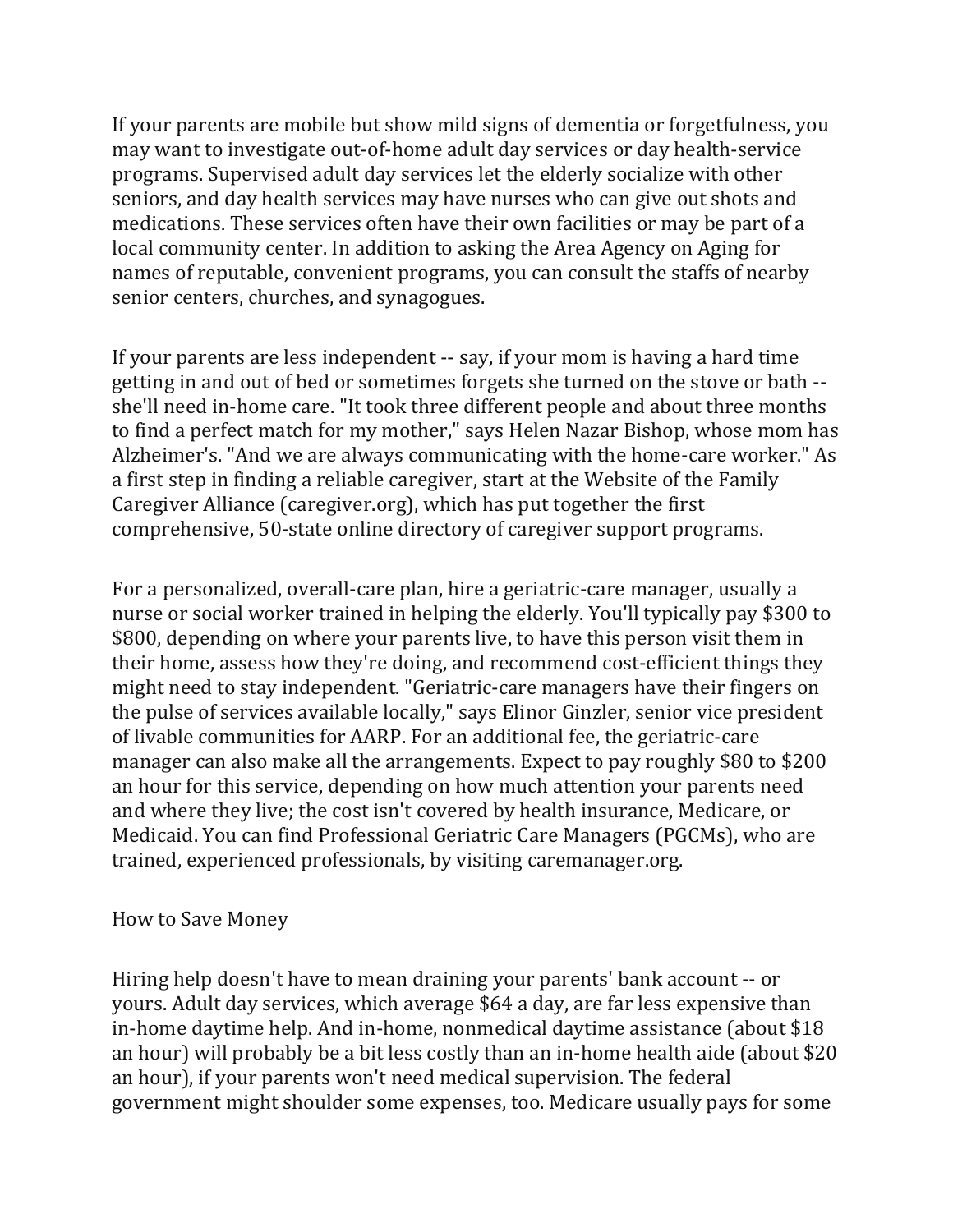If your parents are mobile but show mild signs of dementia or forgetfulness, you may want to investigate out-of-home adult day services or day health-service programs. Supervised adult day services let the elderly socialize with other seniors, and day health services may have nurses who can give out shots and medications. These services often have their own facilities or may be part of a local community center. In addition to asking the Area Agency on Aging for names of reputable, convenient programs, you can consult the staffs of nearby senior centers, churches, and synagogues.

If your parents are less independent -- say, if your mom is having a hard time getting in and out of bed or sometimes forgets she turned on the stove or bath - she'll need in-home care. "It took three different people and about three months to find a perfect match for my mother," says [Helen Nazar Bishop,](https://www.sfgate.com/search/?action=search&channel=magazine&inlineLink=1&searchindex=solr&query=%22Helen+Nazar+Bishop%22) whose mom has Alzheimer's. "And we are always communicating with the home-care worker." As a first step in finding a reliable caregiver, start at the Website of the [Family](https://www.sfgate.com/search/?action=search&channel=magazine&inlineLink=1&searchindex=solr&query=%22Family+Caregiver+Alliance%22)  [Caregiver Alliance](https://www.sfgate.com/search/?action=search&channel=magazine&inlineLink=1&searchindex=solr&query=%22Family+Caregiver+Alliance%22) [\(caregiver.org\)](http://www.caregiver.org/), which has put together the first comprehensive, 50-state online directory of caregiver support programs.

For a personalized, overall-care plan, hire a geriatric-care manager, usually a nurse or social worker trained in helping the elderly. You'll typically pay \$300 to \$800, depending on where your parents live, to have this person visit them in their home, assess how they're doing, and recommend cost-efficient things they might need to stay independent. "Geriatric-care managers have their fingers on the pulse of services available locally," says [Elinor Ginzler,](https://www.sfgate.com/search/?action=search&channel=magazine&inlineLink=1&searchindex=solr&query=%22Elinor+Ginzler%22) senior vice president of livable communities for AARP. For an additional fee, the geriatric-care manager can also make all the arrangements. Expect to pay roughly \$80 to \$200 an hour for this service, depending on how much attention your parents need and where they live; the cost isn't covered by health insurance, [Medicare,](https://www.sfgate.com/search/?action=search&channel=magazine&inlineLink=1&searchindex=solr&query=%22Medicare%22) or Medicaid. You can find Professional Geriatric Care Managers (PGCMs), who are trained, experienced professionals, by visiting [caremanager.org.](http://www.caremanager.org/)

## How to Save Money

Hiring help doesn't have to mean draining your parents' bank account -- or yours. Adult day services, which average \$64 a day, are far less expensive than in-home daytime help. And in-home, nonmedical daytime assistance (about \$18 an hour) will probably be a bit less costly than an in-home health aide (about \$20 an hour), if your parents won't need medical supervision. The federal government might shoulder some expenses, too. Medicare usually pays for some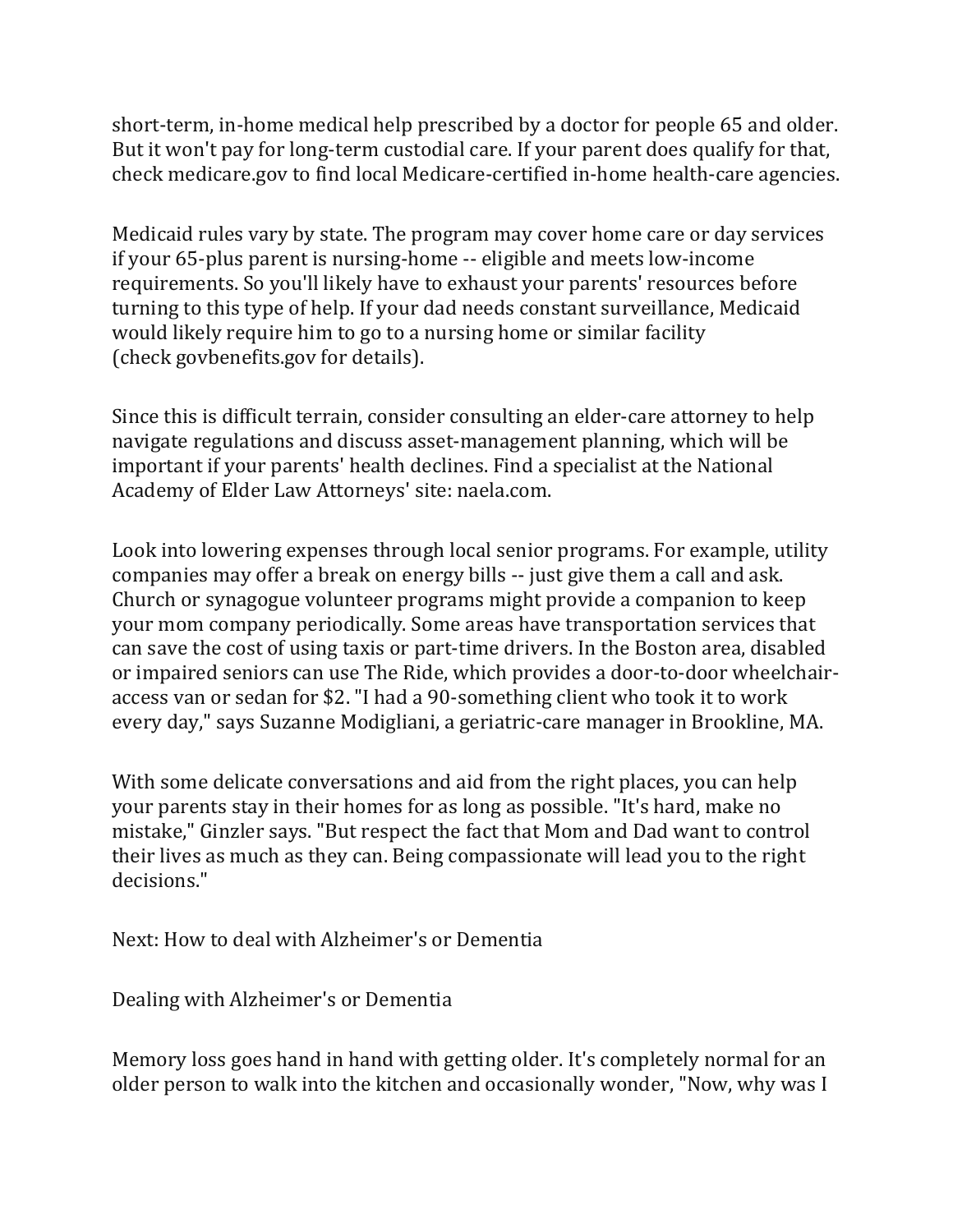short-term, in-home medical help prescribed by a doctor for people 65 and older. But it won't pay for long-term custodial care. If your parent does qualify for that, check [medicare.gov](http://www.medicare.gov/) to find local Medicare-certified in-home health-care agencies.

Medicaid rules vary by state. The program may cover home care or day services if your 65-plus parent is nursing-home -- eligible and meets low-income requirements. So you'll likely have to exhaust your parents' resources before turning to this type of help. If your dad needs constant surveillance, Medicaid would likely require him to go to a nursing home or similar facility (check [govbenefits.gov](http://www.govbenefits.gov/) for details).

Since this is difficult terrain, consider consulting an elder-care attorney to help navigate regulations and discuss asset-management planning, which will be important if your parents' health declines. Find a specialist at the [National](https://www.sfgate.com/search/?action=search&channel=magazine&inlineLink=1&searchindex=solr&query=%22National+Academy%22)  [Academy](https://www.sfgate.com/search/?action=search&channel=magazine&inlineLink=1&searchindex=solr&query=%22National+Academy%22) of Elder Law Attorneys' site: [naela.com.](http://www.naela.com/)

Look into lowering expenses through local senior programs. For example, utility companies may offer a break on energy bills -- just give them a call and ask. Church or synagogue volunteer programs might provide a companion to keep your mom company periodically. Some areas have transportation services that can save the cost of using taxis or part-time drivers. In the Boston area, disabled or impaired seniors can use The Ride, which provides a door-to-door wheelchairaccess van or sedan for \$2. "I had a 90-something client who took it to work every day," says Suzanne Modigliani, a geriatric-care manager in Brookline, MA.

With some delicate conversations and aid from the right places, you can help your parents stay in their homes for as long as possible. "It's hard, make no mistake," Ginzler says. "But respect the fact that Mom and Dad want to control their lives as much as they can. Being compassionate will lead you to the right decisions."

Next: How to deal with Alzheimer's or Dementia

Dealing with Alzheimer's or Dementia

Memory loss goes hand in hand with getting older. It's completely normal for an older person to walk into the kitchen and occasionally wonder, "Now, why was I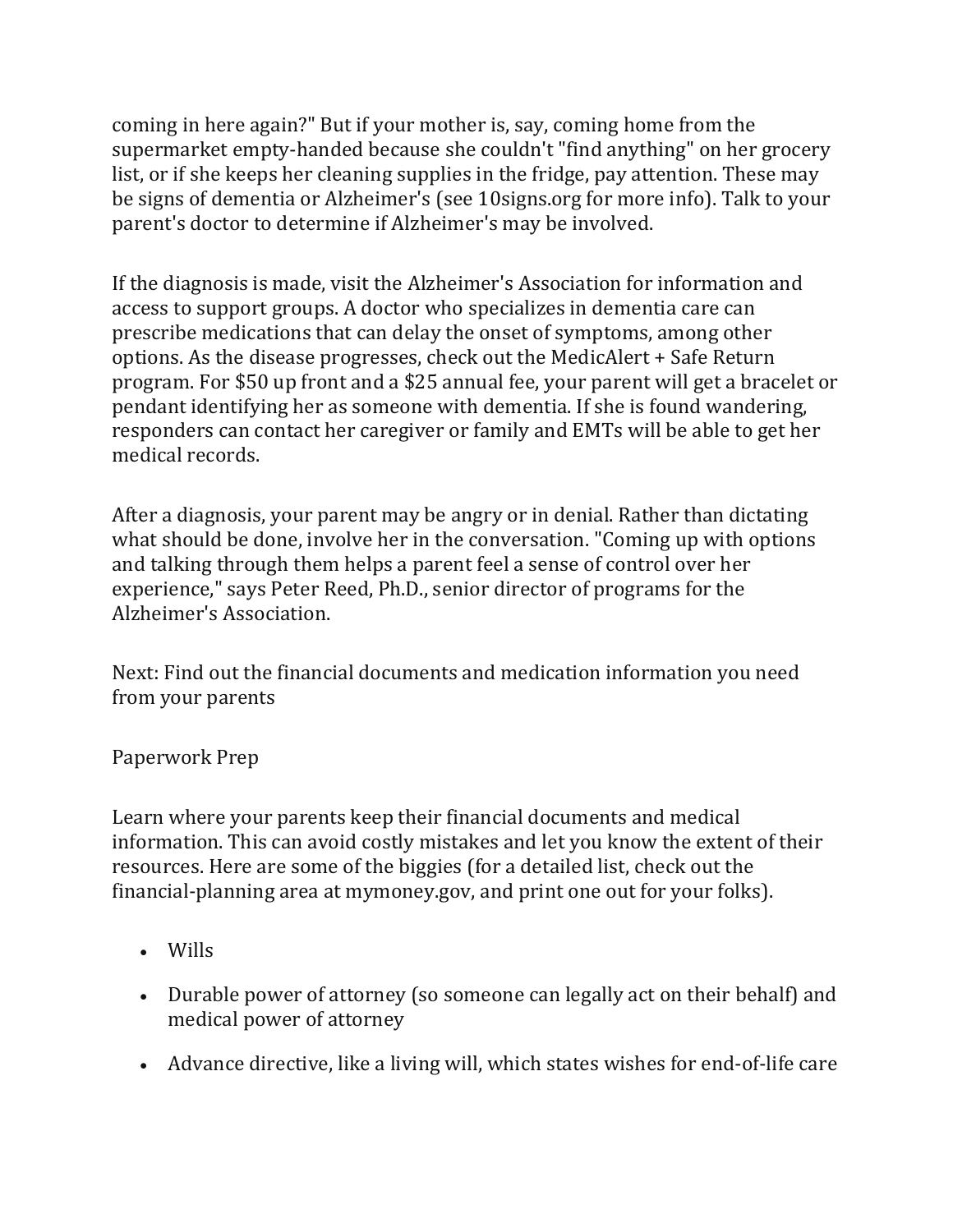coming in here again?" But if your mother is, say, coming home from the supermarket empty-handed because she couldn't "find anything" on her grocery list, or if she keeps her cleaning supplies in the fridge, pay attention. These may be signs of dementia or Alzheimer's (see [10signs.org](http://www.10signs.org/) for more info). Talk to your parent's doctor to determine if Alzheimer's may be involved.

If the diagnosis is made, visit the Alzheimer['s Association](http://www.alz.org/) for information and access to support groups. A doctor who specializes in dementia care can prescribe medications that can delay the onset of symptoms, among other options. As the disease progresses, check out the [MedicAlert + Safe Return](http://www.medicalert.org/)  [program.](http://www.medicalert.org/) For \$50 up front and a \$25 annual fee, your parent will get a bracelet or pendant identifying her as someone with dementia. If she is found wandering, responders can contact her caregiver or family and EMTs will be able to get her medical records.

After a diagnosis, your parent may be angry or in denial. Rather than dictating what should be done, involve her in the conversation. "Coming up with options and talking through them helps a parent feel a sense of control over her experience," says Peter Reed, Ph.D., senior director of programs for the Alzheimer's Association.

Next: Find out the financial documents and medication information you need from your parents

Paperwork Prep

Learn where your parents keep their financial documents and medical information. This can avoid costly mistakes and let you know the extent of their resources. Here are some of the biggies (for a detailed list, check out the financial-planning area at [mymoney.gov,](http://www.mymoney.gov/) and print one out for your folks).

- Wills
- Durable power of attorney (so someone can legally act on their behalf) and medical power of attorney
- Advance directive, like a living will, which states wishes for end-of-life care